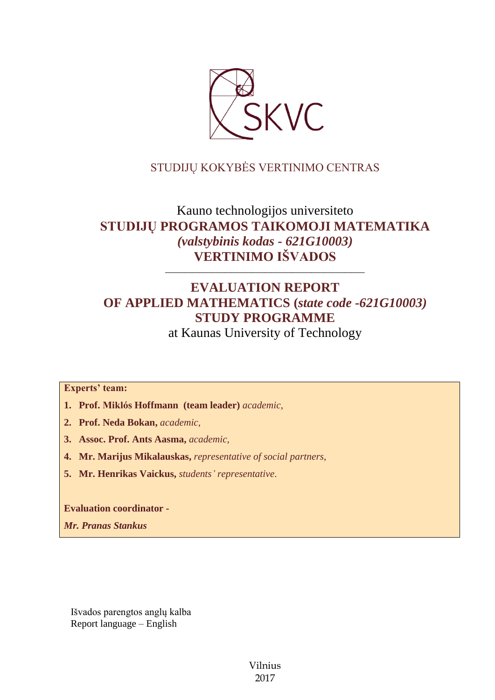

# STUDIJŲ KOKYBĖS VERTINIMO CENTRAS

# Kauno technologijos universiteto **STUDIJŲ PROGRAMOS TAIKOMOJI MATEMATIKA** *(valstybinis kodas - 621G10003)* **VERTINIMO IŠVADOS**

# **EVALUATION REPORT OF APPLIED MATHEMATICS (***state code -621G10003)* **STUDY PROGRAMME**

––––––––––––––––––––––––––––––

at Kaunas University of Technology

**Experts' team:** 

- **1. Prof. Miklós Hoffmann (team leader)** *academic,*
- **2. Prof. Neda Bokan,** *academic,*
- **3. Assoc. Prof. Ants Aasma,** *academic,*
- **4. Mr. Marijus Mikalauskas,** *representative of social partners,*
- **5. Mr. Henrikas Vaickus,** *students' representative*.

**Evaluation coordinator -**

*Mr. Pranas Stankus*

Išvados parengtos anglų kalba Report language – English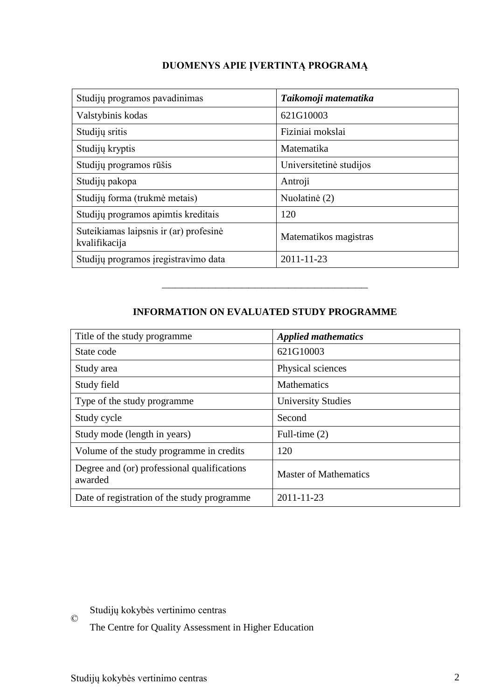# **DUOMENYS APIE ĮVERTINTĄ PROGRAMĄ**

| Studijų programos pavadinimas                           | Taikomoji matematika    |
|---------------------------------------------------------|-------------------------|
| Valstybinis kodas                                       | 621G10003               |
| Studijų sritis                                          | Fiziniai mokslai        |
| Studijų kryptis                                         | Matematika              |
| Studijų programos rūšis                                 | Universitetinė studijos |
| Studijų pakopa                                          | Antroji                 |
| Studijų forma (trukmė metais)                           | Nuolatinė (2)           |
| Studijų programos apimtis kreditais                     | 120                     |
| Suteikiamas laipsnis ir (ar) profesinė<br>kvalifikacija | Matematikos magistras   |
| Studijų programos įregistravimo data                    | 2011-11-23              |

# **INFORMATION ON EVALUATED STUDY PROGRAMME**

–––––––––––––––––––––––––––––––

| Title of the study programme.                          | <b>Applied mathematics</b>   |
|--------------------------------------------------------|------------------------------|
| State code                                             | 621G10003                    |
| Study area                                             | Physical sciences            |
| Study field                                            | <b>Mathematics</b>           |
| Type of the study programme                            | <b>University Studies</b>    |
| Study cycle                                            | Second                       |
| Study mode (length in years)                           | Full-time $(2)$              |
| Volume of the study programme in credits               | 120                          |
| Degree and (or) professional qualifications<br>awarded | <b>Master of Mathematics</b> |
| Date of registration of the study programme            | 2011-11-23                   |

Studijų kokybės vertinimo centras

The Centre for Quality Assessment in Higher Education

©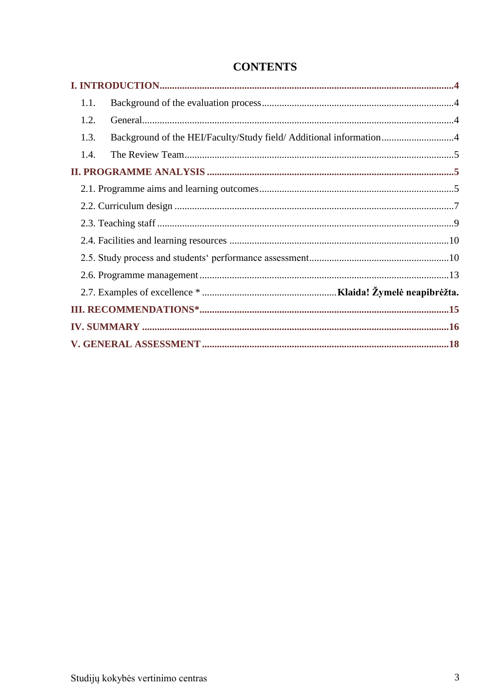| 1.1. |                                                                    |  |
|------|--------------------------------------------------------------------|--|
| 1.2. |                                                                    |  |
| 1.3. | Background of the HEI/Faculty/Study field/ Additional information4 |  |
| 1.4. |                                                                    |  |
|      |                                                                    |  |
|      |                                                                    |  |
|      |                                                                    |  |
|      |                                                                    |  |
|      |                                                                    |  |
|      |                                                                    |  |
|      |                                                                    |  |
|      |                                                                    |  |
|      |                                                                    |  |
|      |                                                                    |  |
|      |                                                                    |  |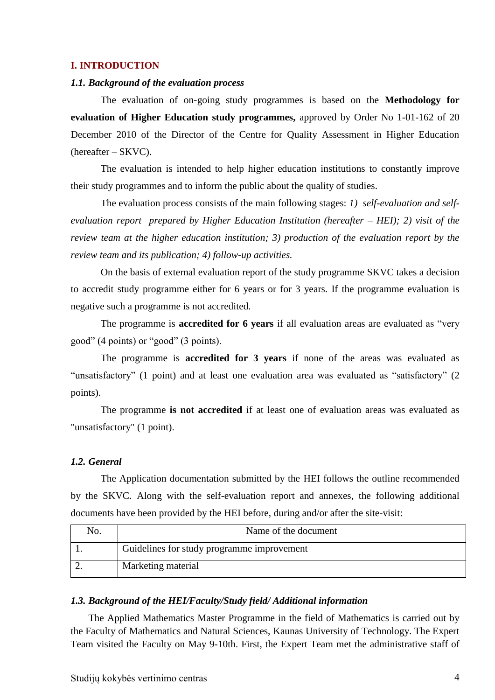#### <span id="page-3-0"></span>**I. INTRODUCTION**

#### <span id="page-3-1"></span>*1.1. Background of the evaluation process*

The evaluation of on-going study programmes is based on the **Methodology for evaluation of Higher Education study programmes,** approved by Order No 1-01-162 of 20 December 2010 of the Director of the Centre for Quality Assessment in Higher Education (hereafter – SKVC).

The evaluation is intended to help higher education institutions to constantly improve their study programmes and to inform the public about the quality of studies.

The evaluation process consists of the main following stages: *1) self-evaluation and selfevaluation report prepared by Higher Education Institution (hereafter – HEI); 2) visit of the review team at the higher education institution; 3) production of the evaluation report by the review team and its publication; 4) follow-up activities.* 

On the basis of external evaluation report of the study programme SKVC takes a decision to accredit study programme either for 6 years or for 3 years. If the programme evaluation is negative such a programme is not accredited.

The programme is **accredited for 6 years** if all evaluation areas are evaluated as "very good" (4 points) or "good" (3 points).

The programme is **accredited for 3 years** if none of the areas was evaluated as "unsatisfactory" (1 point) and at least one evaluation area was evaluated as "satisfactory" (2 points).

The programme **is not accredited** if at least one of evaluation areas was evaluated as "unsatisfactory" (1 point).

#### <span id="page-3-2"></span>*1.2. General*

The Application documentation submitted by the HEI follows the outline recommended by the SKVC. Along with the self-evaluation report and annexes, the following additional documents have been provided by the HEI before, during and/or after the site-visit:

| No. | Name of the document                       |
|-----|--------------------------------------------|
|     | Guidelines for study programme improvement |
|     | Marketing material                         |

#### <span id="page-3-3"></span>*1.3. Background of the HEI/Faculty/Study field/ Additional information*

The Applied Mathematics Master Programme in the field of Mathematics is carried out by the Faculty of Mathematics and Natural Sciences, Kaunas University of Technology. The Expert Team visited the Faculty on May 9-10th. First, the Expert Team met the administrative staff of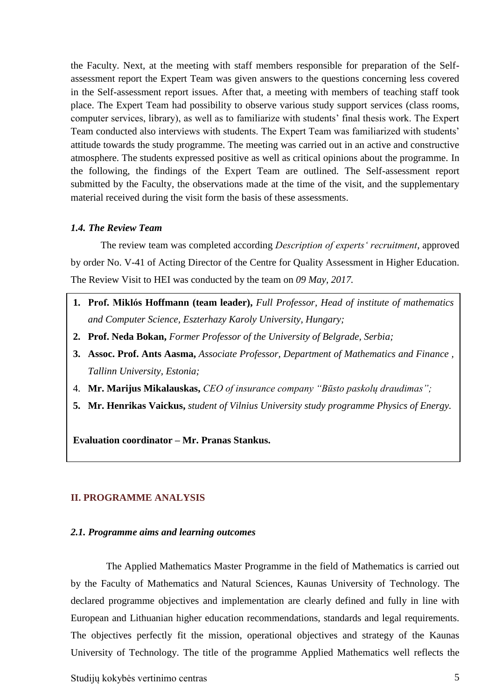the Faculty. Next, at the meeting with staff members responsible for preparation of the Selfassessment report the Expert Team was given answers to the questions concerning less covered in the Self-assessment report issues. After that, a meeting with members of teaching staff took place. The Expert Team had possibility to observe various study support services (class rooms, computer services, library), as well as to familiarize with students' final thesis work. The Expert Team conducted also interviews with students. The Expert Team was familiarized with students' attitude towards the study programme. The meeting was carried out in an active and constructive atmosphere. The students expressed positive as well as critical opinions about the programme. In the following, the findings of the Expert Team are outlined. The Self-assessment report submitted by the Faculty, the observations made at the time of the visit, and the supplementary material received during the visit form the basis of these assessments.

#### <span id="page-4-0"></span>*1.4. The Review Team*

The review team was completed according *Description of experts' recruitment*, approved by order No. V-41 of Acting Director of the Centre for Quality Assessment in Higher Education. The Review Visit to HEI was conducted by the team on *09 May, 2017.*

- **1. Prof. Miklós Hoffmann (team leader),** *Full Professor, Head of institute of mathematics and Computer Science, Eszterhazy Karoly University, Hungary;*
- **2. Prof. Neda Bokan,** *Former Professor of the University of Belgrade, Serbia;*
- **3. Assoc. Prof. Ants Aasma,** *Associate Professor, Department of Mathematics and Finance , Tallinn University, Estonia;*
- 4. **Mr. Marijus Mikalauskas,** *CEO of insurance company "Būsto paskolų draudimas";*
- <span id="page-4-1"></span>**5. Mr. Henrikas Vaickus,** *student of Vilnius University study programme Physics of Energy.*

**Evaluation coordinator – Mr. Pranas Stankus.**

### **II. PROGRAMME ANALYSIS**

#### <span id="page-4-2"></span>*2.1. Programme aims and learning outcomes*

The Applied Mathematics Master Programme in the field of Mathematics is carried out by the Faculty of Mathematics and Natural Sciences, Kaunas University of Technology. The declared programme objectives and implementation are clearly defined and fully in line with European and Lithuanian higher education recommendations, standards and legal requirements. The objectives perfectly fit the mission, operational objectives and strategy of the Kaunas University of Technology. The title of the programme Applied Mathematics well reflects the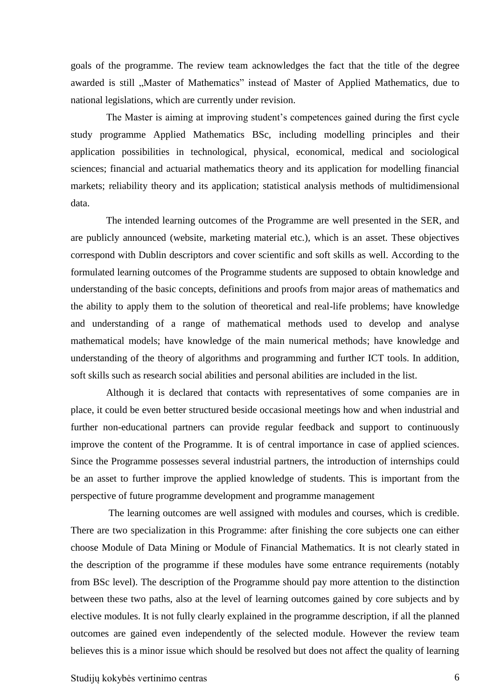goals of the programme. The review team acknowledges the fact that the title of the degree awarded is still "Master of Mathematics" instead of Master of Applied Mathematics, due to national legislations, which are currently under revision.

The Master is aiming at improving student's competences gained during the first cycle study programme Applied Mathematics BSc, including modelling principles and their application possibilities in technological, physical, economical, medical and sociological sciences; financial and actuarial mathematics theory and its application for modelling financial markets; reliability theory and its application; statistical analysis methods of multidimensional data.

The intended learning outcomes of the Programme are well presented in the SER, and are publicly announced (website, marketing material etc.), which is an asset. These objectives correspond with Dublin descriptors and cover scientific and soft skills as well. According to the formulated learning outcomes of the Programme students are supposed to obtain knowledge and understanding of the basic concepts, definitions and proofs from major areas of mathematics and the ability to apply them to the solution of theoretical and real-life problems; have knowledge and understanding of a range of mathematical methods used to develop and analyse mathematical models; have knowledge of the main numerical methods; have knowledge and understanding of the theory of algorithms and programming and further ICT tools. In addition, soft skills such as research social abilities and personal abilities are included in the list.

Although it is declared that contacts with representatives of some companies are in place, it could be even better structured beside occasional meetings how and when industrial and further non-educational partners can provide regular feedback and support to continuously improve the content of the Programme. It is of central importance in case of applied sciences. Since the Programme possesses several industrial partners, the introduction of internships could be an asset to further improve the applied knowledge of students. This is important from the perspective of future programme development and programme management

The learning outcomes are well assigned with modules and courses, which is credible. There are two specialization in this Programme: after finishing the core subjects one can either choose Module of Data Mining or Module of Financial Mathematics. It is not clearly stated in the description of the programme if these modules have some entrance requirements (notably from BSc level). The description of the Programme should pay more attention to the distinction between these two paths, also at the level of learning outcomes gained by core subjects and by elective modules. It is not fully clearly explained in the programme description, if all the planned outcomes are gained even independently of the selected module. However the review team believes this is a minor issue which should be resolved but does not affect the quality of learning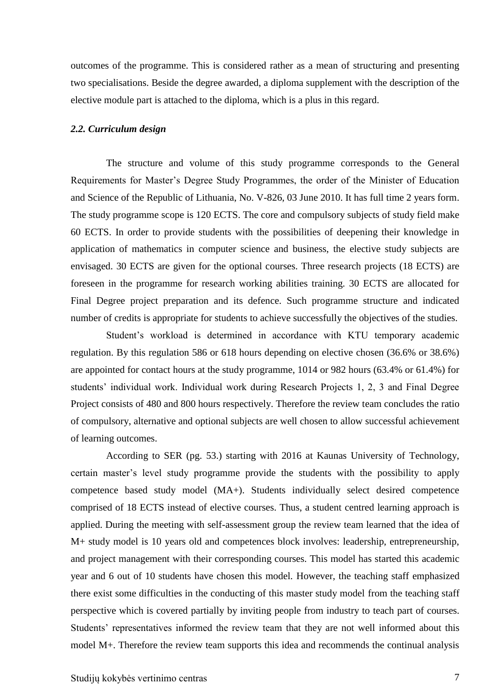outcomes of the programme. This is considered rather as a mean of structuring and presenting two specialisations. Beside the degree awarded, a diploma supplement with the description of the elective module part is attached to the diploma, which is a plus in this regard.

#### <span id="page-6-0"></span>*2.2. Curriculum design*

The structure and volume of this study programme corresponds to the General Requirements for Master's Degree Study Programmes, the order of the Minister of Education and Science of the Republic of Lithuania, No. V-826, 03 June 2010. It has full time 2 years form. The study programme scope is 120 ECTS. The core and compulsory subjects of study field make 60 ECTS. In order to provide students with the possibilities of deepening their knowledge in application of mathematics in computer science and business, the elective study subjects are envisaged. 30 ECTS are given for the optional courses. Three research projects (18 ECTS) are foreseen in the programme for research working abilities training. 30 ECTS are allocated for Final Degree project preparation and its defence. Such programme structure and indicated number of credits is appropriate for students to achieve successfully the objectives of the studies.

Student's workload is determined in accordance with KTU temporary academic regulation. By this regulation 586 or 618 hours depending on elective chosen (36.6% or 38.6%) are appointed for contact hours at the study programme, 1014 or 982 hours (63.4% or 61.4%) for students' individual work. Individual work during Research Projects 1, 2, 3 and Final Degree Project consists of 480 and 800 hours respectively. Therefore the review team concludes the ratio of compulsory, alternative and optional subjects are well chosen to allow successful achievement of learning outcomes.

According to SER (pg. 53.) starting with 2016 at Kaunas University of Technology, certain master's level study programme provide the students with the possibility to apply competence based study model (MA+). Students individually select desired competence comprised of 18 ECTS instead of elective courses. Thus, a student centred learning approach is applied. During the meeting with self-assessment group the review team learned that the idea of M+ study model is 10 years old and competences block involves: leadership, entrepreneurship, and project management with their corresponding courses. This model has started this academic year and 6 out of 10 students have chosen this model. However, the teaching staff emphasized there exist some difficulties in the conducting of this master study model from the teaching staff perspective which is covered partially by inviting people from industry to teach part of courses. Students' representatives informed the review team that they are not well informed about this model M+. Therefore the review team supports this idea and recommends the continual analysis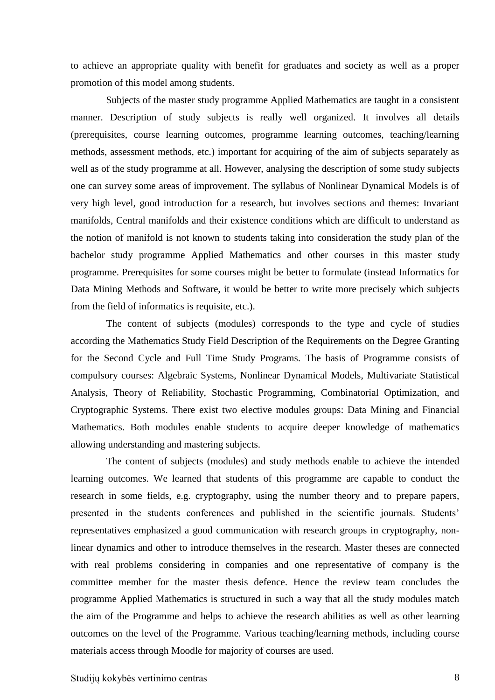to achieve an appropriate quality with benefit for graduates and society as well as a proper promotion of this model among students.

Subjects of the master study programme Applied Mathematics are taught in a consistent manner. Description of study subjects is really well organized. It involves all details (prerequisites, course learning outcomes, programme learning outcomes, teaching/learning methods, assessment methods, etc.) important for acquiring of the aim of subjects separately as well as of the study programme at all. However, analysing the description of some study subjects one can survey some areas of improvement. The syllabus of Nonlinear Dynamical Models is of very high level, good introduction for a research, but involves sections and themes: Invariant manifolds, Central manifolds and their existence conditions which are difficult to understand as the notion of manifold is not known to students taking into consideration the study plan of the bachelor study programme Applied Mathematics and other courses in this master study programme. Prerequisites for some courses might be better to formulate (instead Informatics for Data Mining Methods and Software, it would be better to write more precisely which subjects from the field of informatics is requisite, etc.).

The content of subjects (modules) corresponds to the type and cycle of studies according the Mathematics Study Field Description of the Requirements on the Degree Granting for the Second Cycle and Full Time Study Programs. The basis of Programme consists of compulsory courses: Algebraic Systems, Nonlinear Dynamical Models, Multivariate Statistical Analysis, Theory of Reliability, Stochastic Programming, Combinatorial Optimization, and Cryptographic Systems. There exist two elective modules groups: Data Mining and Financial Mathematics. Both modules enable students to acquire deeper knowledge of mathematics allowing understanding and mastering subjects.

The content of subjects (modules) and study methods enable to achieve the intended learning outcomes. We learned that students of this programme are capable to conduct the research in some fields, e.g. cryptography, using the number theory and to prepare papers, presented in the students conferences and published in the scientific journals. Students' representatives emphasized a good communication with research groups in cryptography, nonlinear dynamics and other to introduce themselves in the research. Master theses are connected with real problems considering in companies and one representative of company is the committee member for the master thesis defence. Hence the review team concludes the programme Applied Mathematics is structured in such a way that all the study modules match the aim of the Programme and helps to achieve the research abilities as well as other learning outcomes on the level of the Programme. Various teaching/learning methods, including course materials access through Moodle for majority of courses are used.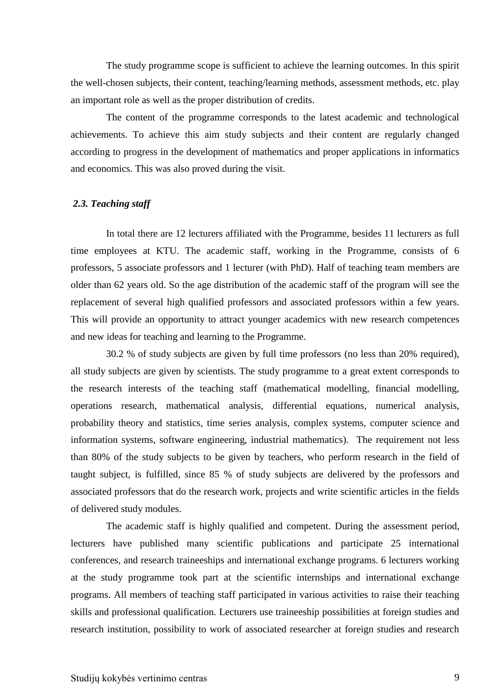The study programme scope is sufficient to achieve the learning outcomes. In this spirit the well-chosen subjects, their content, teaching/learning methods, assessment methods, etc. play an important role as well as the proper distribution of credits.

The content of the programme corresponds to the latest academic and technological achievements. To achieve this aim study subjects and their content are regularly changed according to progress in the development of mathematics and proper applications in informatics and economics. This was also proved during the visit.

#### <span id="page-8-0"></span>*2.3. Teaching staff*

In total there are 12 lecturers affiliated with the Programme, besides 11 lecturers as full time employees at KTU. The academic staff, working in the Programme, consists of 6 professors, 5 associate professors and 1 lecturer (with PhD). Half of teaching team members are older than 62 years old. So the age distribution of the academic staff of the program will see the replacement of several high qualified professors and associated professors within a few years. This will provide an opportunity to attract younger academics with new research competences and new ideas for teaching and learning to the Programme.

30.2 % of study subjects are given by full time professors (no less than 20% required), all study subjects are given by scientists. The study programme to a great extent corresponds to the research interests of the teaching staff (mathematical modelling, financial modelling, operations research, mathematical analysis, differential equations, numerical analysis, probability theory and statistics, time series analysis, complex systems, computer science and information systems, software engineering, industrial mathematics). The requirement not less than 80% of the study subjects to be given by teachers, who perform research in the field of taught subject, is fulfilled, since 85 % of study subjects are delivered by the professors and associated professors that do the research work, projects and write scientific articles in the fields of delivered study modules.

The academic staff is highly qualified and competent. During the assessment period, lecturers have published many scientific publications and participate 25 international conferences, and research traineeships and international exchange programs. 6 lecturers working at the study programme took part at the scientific internships and international exchange programs. All members of teaching staff participated in various activities to raise their teaching skills and professional qualification. Lecturers use traineeship possibilities at foreign studies and research institution, possibility to work of associated researcher at foreign studies and research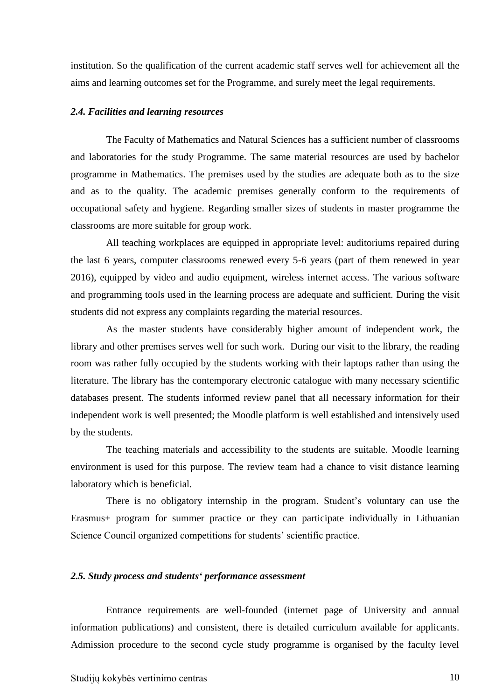institution. So the qualification of the current academic staff serves well for achievement all the aims and learning outcomes set for the Programme, and surely meet the legal requirements.

#### <span id="page-9-0"></span>*2.4. Facilities and learning resources*

The Faculty of Mathematics and Natural Sciences has a sufficient number of classrooms and laboratories for the study Programme. The same material resources are used by bachelor programme in Mathematics. The premises used by the studies are adequate both as to the size and as to the quality. The academic premises generally conform to the requirements of occupational safety and hygiene. Regarding smaller sizes of students in master programme the classrooms are more suitable for group work.

All teaching workplaces are equipped in appropriate level: auditoriums repaired during the last 6 years, computer classrooms renewed every 5-6 years (part of them renewed in year 2016), equipped by video and audio equipment, wireless internet access. The various software and programming tools used in the learning process are adequate and sufficient. During the visit students did not express any complaints regarding the material resources.

As the master students have considerably higher amount of independent work, the library and other premises serves well for such work. During our visit to the library, the reading room was rather fully occupied by the students working with their laptops rather than using the literature. The library has the contemporary electronic catalogue with many necessary scientific databases present. The students informed review panel that all necessary information for their independent work is well presented; the Moodle platform is well established and intensively used by the students.

The teaching materials and accessibility to the students are suitable. Moodle learning environment is used for this purpose. The review team had a chance to visit distance learning laboratory which is beneficial.

There is no obligatory internship in the program. Student's voluntary can use the Erasmus+ program for summer practice or they can participate individually in Lithuanian Science Council organized competitions for students' scientific practice.

#### <span id="page-9-1"></span>*2.5. Study process and students' performance assessment*

Entrance requirements are well-founded (internet page of University and annual information publications) and consistent, there is detailed curriculum available for applicants. Admission procedure to the second cycle study programme is organised by the faculty level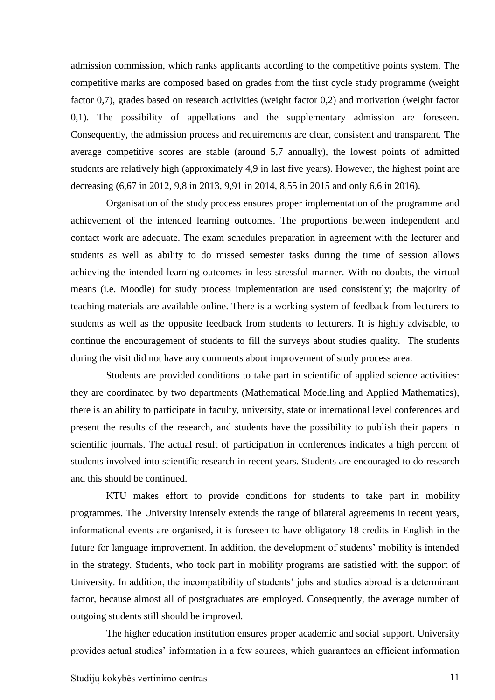admission commission, which ranks applicants according to the competitive points system. The competitive marks are composed based on grades from the first cycle study programme (weight factor 0,7), grades based on research activities (weight factor 0,2) and motivation (weight factor 0,1). The possibility of appellations and the supplementary admission are foreseen. Consequently, the admission process and requirements are clear, consistent and transparent. The average competitive scores are stable (around 5,7 annually), the lowest points of admitted students are relatively high (approximately 4,9 in last five years). However, the highest point are decreasing (6,67 in 2012, 9,8 in 2013, 9,91 in 2014, 8,55 in 2015 and only 6,6 in 2016).

Organisation of the study process ensures proper implementation of the programme and achievement of the intended learning outcomes. The proportions between independent and contact work are adequate. The exam schedules preparation in agreement with the lecturer and students as well as ability to do missed semester tasks during the time of session allows achieving the intended learning outcomes in less stressful manner. With no doubts, the virtual means (i.e. Moodle) for study process implementation are used consistently; the majority of teaching materials are available online. There is a working system of feedback from lecturers to students as well as the opposite feedback from students to lecturers. It is highly advisable, to continue the encouragement of students to fill the surveys about studies quality. The students during the visit did not have any comments about improvement of study process area.

Students are provided conditions to take part in scientific of applied science activities: they are coordinated by two departments (Mathematical Modelling and Applied Mathematics), there is an ability to participate in faculty, university, state or international level conferences and present the results of the research, and students have the possibility to publish their papers in scientific journals. The actual result of participation in conferences indicates a high percent of students involved into scientific research in recent years. Students are encouraged to do research and this should be continued.

KTU makes effort to provide conditions for students to take part in mobility programmes. The University intensely extends the range of bilateral agreements in recent years, informational events are organised, it is foreseen to have obligatory 18 credits in English in the future for language improvement. In addition, the development of students' mobility is intended in the strategy. Students, who took part in mobility programs are satisfied with the support of University. In addition, the incompatibility of students' jobs and studies abroad is a determinant factor, because almost all of postgraduates are employed. Consequently, the average number of outgoing students still should be improved.

The higher education institution ensures proper academic and social support. University provides actual studies' information in a few sources, which guarantees an efficient information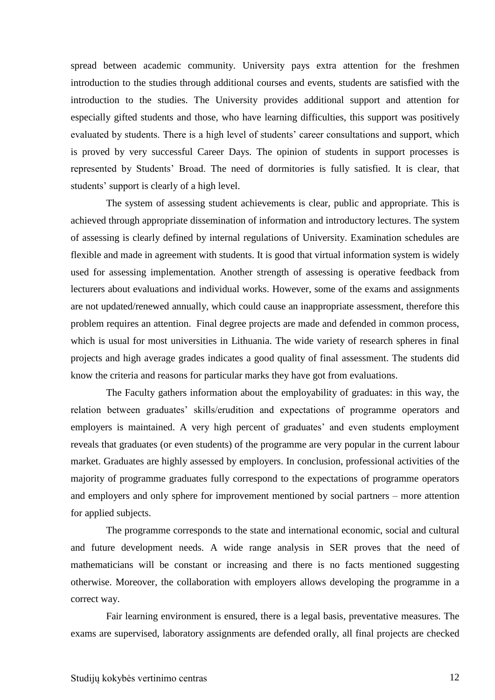spread between academic community. University pays extra attention for the freshmen introduction to the studies through additional courses and events, students are satisfied with the introduction to the studies. The University provides additional support and attention for especially gifted students and those, who have learning difficulties, this support was positively evaluated by students. There is a high level of students' career consultations and support, which is proved by very successful Career Days. The opinion of students in support processes is represented by Students' Broad. The need of dormitories is fully satisfied. It is clear, that students' support is clearly of a high level.

The system of assessing student achievements is clear, public and appropriate. This is achieved through appropriate dissemination of information and introductory lectures. The system of assessing is clearly defined by internal regulations of University. Examination schedules are flexible and made in agreement with students. It is good that virtual information system is widely used for assessing implementation. Another strength of assessing is operative feedback from lecturers about evaluations and individual works. However, some of the exams and assignments are not updated/renewed annually, which could cause an inappropriate assessment, therefore this problem requires an attention. Final degree projects are made and defended in common process, which is usual for most universities in Lithuania. The wide variety of research spheres in final projects and high average grades indicates a good quality of final assessment. The students did know the criteria and reasons for particular marks they have got from evaluations.

The Faculty gathers information about the employability of graduates: in this way, the relation between graduates' skills/erudition and expectations of programme operators and employers is maintained. A very high percent of graduates' and even students employment reveals that graduates (or even students) of the programme are very popular in the current labour market. Graduates are highly assessed by employers. In conclusion, professional activities of the majority of programme graduates fully correspond to the expectations of programme operators and employers and only sphere for improvement mentioned by social partners – more attention for applied subjects.

The programme corresponds to the state and international economic, social and cultural and future development needs. A wide range analysis in SER proves that the need of mathematicians will be constant or increasing and there is no facts mentioned suggesting otherwise. Moreover, the collaboration with employers allows developing the programme in a correct way.

Fair learning environment is ensured, there is a legal basis, preventative measures. The exams are supervised, laboratory assignments are defended orally, all final projects are checked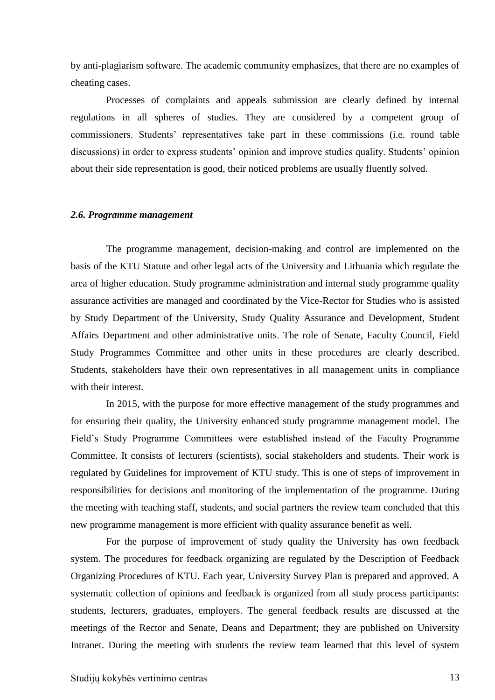by anti-plagiarism software. The academic community emphasizes, that there are no examples of cheating cases.

Processes of complaints and appeals submission are clearly defined by internal regulations in all spheres of studies. They are considered by a competent group of commissioners. Students' representatives take part in these commissions (i.e. round table discussions) in order to express students' opinion and improve studies quality. Students' opinion about their side representation is good, their noticed problems are usually fluently solved.

#### <span id="page-12-0"></span>*2.6. Programme management*

The programme management, decision-making and control are implemented on the basis of the KTU Statute and other legal acts of the University and Lithuania which regulate the area of higher education. Study programme administration and internal study programme quality assurance activities are managed and coordinated by the Vice-Rector for Studies who is assisted by Study Department of the University, Study Quality Assurance and Development, Student Affairs Department and other administrative units. The role of Senate, Faculty Council, Field Study Programmes Committee and other units in these procedures are clearly described. Students, stakeholders have their own representatives in all management units in compliance with their interest.

In 2015, with the purpose for more effective management of the study programmes and for ensuring their quality, the University enhanced study programme management model. The Field's Study Programme Committees were established instead of the Faculty Programme Committee. It consists of lecturers (scientists), social stakeholders and students. Their work is regulated by Guidelines for improvement of KTU study. This is one of steps of improvement in responsibilities for decisions and monitoring of the implementation of the programme. During the meeting with teaching staff, students, and social partners the review team concluded that this new programme management is more efficient with quality assurance benefit as well.

For the purpose of improvement of study quality the University has own feedback system. The procedures for feedback organizing are regulated by the Description of Feedback Organizing Procedures of KTU. Each year, University Survey Plan is prepared and approved. A systematic collection of opinions and feedback is organized from all study process participants: students, lecturers, graduates, employers. The general feedback results are discussed at the meetings of the Rector and Senate, Deans and Department; they are published on University Intranet. During the meeting with students the review team learned that this level of system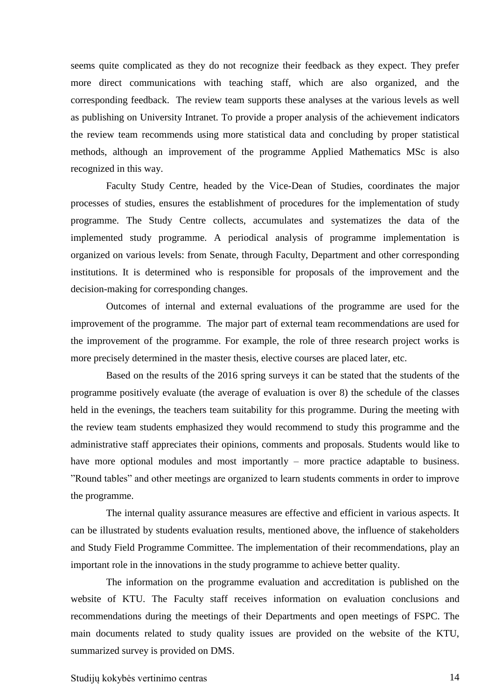seems quite complicated as they do not recognize their feedback as they expect. They prefer more direct communications with teaching staff, which are also organized, and the corresponding feedback. The review team supports these analyses at the various levels as well as publishing on University Intranet. To provide a proper analysis of the achievement indicators the review team recommends using more statistical data and concluding by proper statistical methods, although an improvement of the programme Applied Mathematics MSc is also recognized in this way.

Faculty Study Centre, headed by the Vice-Dean of Studies, coordinates the major processes of studies, ensures the establishment of procedures for the implementation of study programme. The Study Centre collects, accumulates and systematizes the data of the implemented study programme. A periodical analysis of programme implementation is organized on various levels: from Senate, through Faculty, Department and other corresponding institutions. It is determined who is responsible for proposals of the improvement and the decision-making for corresponding changes.

Outcomes of internal and external evaluations of the programme are used for the improvement of the programme. The major part of external team recommendations are used for the improvement of the programme. For example, the role of three research project works is more precisely determined in the master thesis, elective courses are placed later, etc.

Based on the results of the 2016 spring surveys it can be stated that the students of the programme positively evaluate (the average of evaluation is over 8) the schedule of the classes held in the evenings, the teachers team suitability for this programme. During the meeting with the review team students emphasized they would recommend to study this programme and the administrative staff appreciates their opinions, comments and proposals. Students would like to have more optional modules and most importantly – more practice adaptable to business. "Round tables" and other meetings are organized to learn students comments in order to improve the programme.

The internal quality assurance measures are effective and efficient in various aspects. It can be illustrated by students evaluation results, mentioned above, the influence of stakeholders and Study Field Programme Committee. The implementation of their recommendations, play an important role in the innovations in the study programme to achieve better quality.

The information on the programme evaluation and accreditation is published on the website of KTU. The Faculty staff receives information on evaluation conclusions and recommendations during the meetings of their Departments and open meetings of FSPC. The main documents related to study quality issues are provided on the website of the KTU, summarized survey is provided on DMS.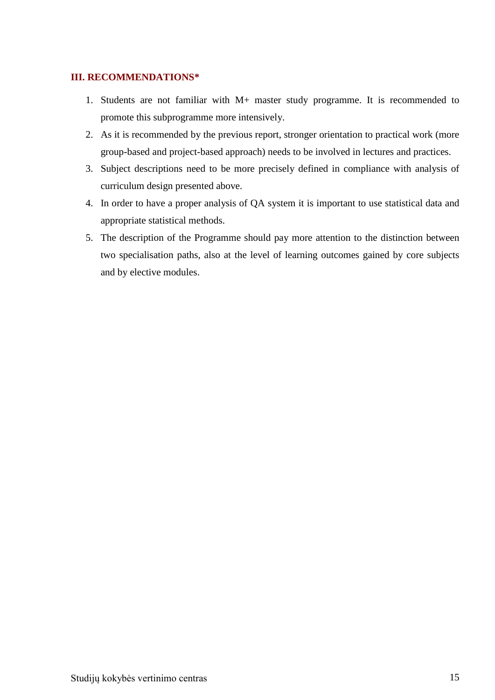### <span id="page-14-0"></span>**III. RECOMMENDATIONS\***

- 1. Students are not familiar with M+ master study programme. It is recommended to promote this subprogramme more intensively.
- 2. As it is recommended by the previous report, stronger orientation to practical work (more group-based and project-based approach) needs to be involved in lectures and practices.
- 3. Subject descriptions need to be more precisely defined in compliance with analysis of curriculum design presented above.
- 4. In order to have a proper analysis of QA system it is important to use statistical data and appropriate statistical methods.
- 5. The description of the Programme should pay more attention to the distinction between two specialisation paths, also at the level of learning outcomes gained by core subjects and by elective modules.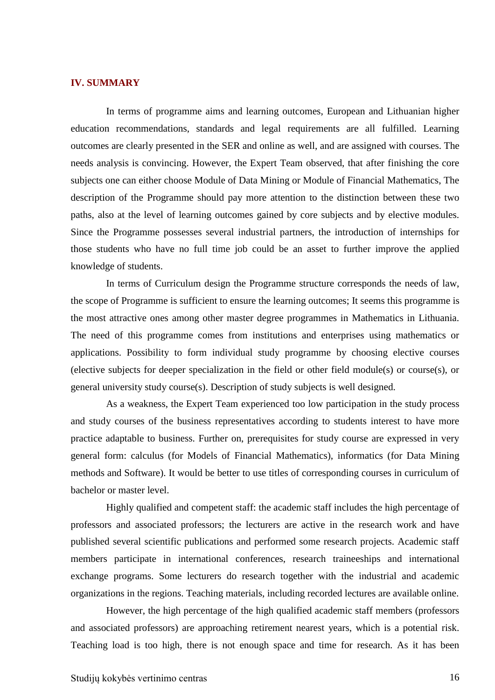#### <span id="page-15-0"></span>**IV. SUMMARY**

In terms of programme aims and learning outcomes, European and Lithuanian higher education recommendations, standards and legal requirements are all fulfilled. Learning outcomes are clearly presented in the SER and online as well, and are assigned with courses. The needs analysis is convincing. However, the Expert Team observed, that after finishing the core subjects one can either choose Module of Data Mining or Module of Financial Mathematics, The description of the Programme should pay more attention to the distinction between these two paths, also at the level of learning outcomes gained by core subjects and by elective modules. Since the Programme possesses several industrial partners, the introduction of internships for those students who have no full time job could be an asset to further improve the applied knowledge of students.

In terms of Curriculum design the Programme structure corresponds the needs of law, the scope of Programme is sufficient to ensure the learning outcomes; It seems this programme is the most attractive ones among other master degree programmes in Mathematics in Lithuania. The need of this programme comes from institutions and enterprises using mathematics or applications. Possibility to form individual study programme by choosing elective courses (elective subjects for deeper specialization in the field or other field module(s) or course(s), or general university study course(s). Description of study subjects is well designed.

As a weakness, the Expert Team experienced too low participation in the study process and study courses of the business representatives according to students interest to have more practice adaptable to business. Further on, prerequisites for study course are expressed in very general form: calculus (for Models of Financial Mathematics), informatics (for Data Mining methods and Software). It would be better to use titles of corresponding courses in curriculum of bachelor or master level.

Highly qualified and competent staff: the academic staff includes the high percentage of professors and associated professors; the lecturers are active in the research work and have published several scientific publications and performed some research projects. Academic staff members participate in international conferences, research traineeships and international exchange programs. Some lecturers do research together with the industrial and academic organizations in the regions. Teaching materials, including recorded lectures are available online.

However, the high percentage of the high qualified academic staff members (professors and associated professors) are approaching retirement nearest years, which is a potential risk. Teaching load is too high, there is not enough space and time for research. As it has been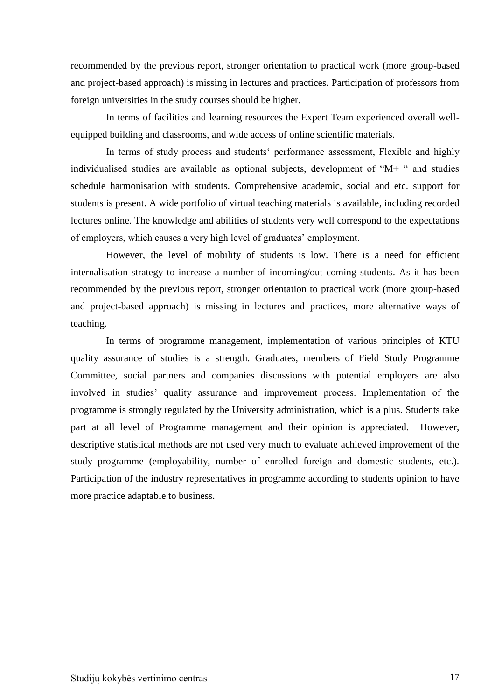recommended by the previous report, stronger orientation to practical work (more group-based and project-based approach) is missing in lectures and practices. Participation of professors from foreign universities in the study courses should be higher.

In terms of facilities and learning resources the Expert Team experienced overall wellequipped building and classrooms, and wide access of online scientific materials.

In terms of study process and students' performance assessment, Flexible and highly individualised studies are available as optional subjects, development of "M+ " and studies schedule harmonisation with students. Comprehensive academic, social and etc. support for students is present. A wide portfolio of virtual teaching materials is available, including recorded lectures online. The knowledge and abilities of students very well correspond to the expectations of employers, which causes a very high level of graduates' employment.

However, the level of mobility of students is low. There is a need for efficient internalisation strategy to increase a number of incoming/out coming students. As it has been recommended by the previous report, stronger orientation to practical work (more group-based and project-based approach) is missing in lectures and practices, more alternative ways of teaching.

In terms of programme management, implementation of various principles of KTU quality assurance of studies is a strength. Graduates, members of Field Study Programme Committee, social partners and companies discussions with potential employers are also involved in studies' quality assurance and improvement process. Implementation of the programme is strongly regulated by the University administration, which is a plus. Students take part at all level of Programme management and their opinion is appreciated. However, descriptive statistical methods are not used very much to evaluate achieved improvement of the study programme (employability, number of enrolled foreign and domestic students, etc.). Participation of the industry representatives in programme according to students opinion to have more practice adaptable to business.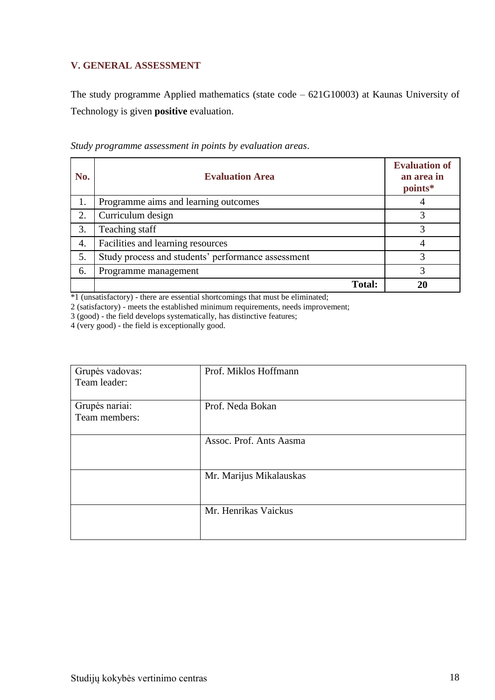# <span id="page-17-0"></span>**V. GENERAL ASSESSMENT**

The study programme Applied mathematics (state code – 621G10003) at Kaunas University of Technology is given **positive** evaluation.

| No. | <b>Evaluation Area</b>                             | <b>Evaluation of</b><br>an area in<br>points* |
|-----|----------------------------------------------------|-----------------------------------------------|
| 1.  | Programme aims and learning outcomes               |                                               |
| 2.  | Curriculum design                                  | 3                                             |
| 3.  | Teaching staff                                     | 3                                             |
| 4.  | Facilities and learning resources                  |                                               |
| 5.  | Study process and students' performance assessment | 3                                             |
| 6.  | Programme management                               | 3                                             |
|     | <b>Total:</b>                                      |                                               |

*Study programme assessment in points by evaluation areas*.

\*1 (unsatisfactory) - there are essential shortcomings that must be eliminated;

2 (satisfactory) - meets the established minimum requirements, needs improvement;

3 (good) - the field develops systematically, has distinctive features;

4 (very good) - the field is exceptionally good.

| Grupės vadovas:<br>Team leader: | Prof. Miklos Hoffmann   |
|---------------------------------|-------------------------|
| Grupės nariai:<br>Team members: | Prof. Neda Bokan        |
|                                 | Assoc. Prof. Ants Aasma |
|                                 | Mr. Marijus Mikalauskas |
|                                 | Mr. Henrikas Vaickus    |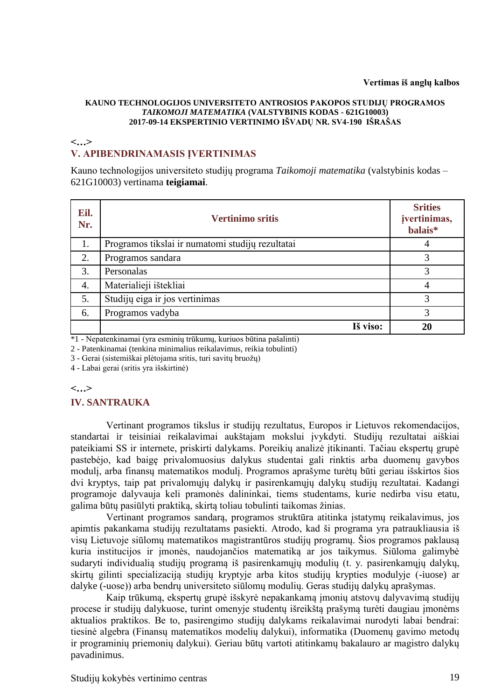#### **KAUNO TECHNOLOGIJOS UNIVERSITETO ANTROSIOS PAKOPOS STUDIJŲ PROGRAMOS**  *TAIKOMOJI MATEMATIKA* **(VALSTYBINIS KODAS - 621G10003) 2017-09-14 EKSPERTINIO VERTINIMO IŠVADŲ NR. SV4-190 IŠRAŠAS**

## **<…> V. APIBENDRINAMASIS ĮVERTINIMAS**

Kauno technologijos universiteto studijų programa *Taikomoji matematika* (valstybinis kodas – 621G10003) vertinama **teigiamai**.

| Eil.<br>Nr. | <b>Vertinimo sritis</b>                          | <b>Srities</b><br>jvertinimas,<br>balais* |
|-------------|--------------------------------------------------|-------------------------------------------|
| 1.          | Programos tikslai ir numatomi studijų rezultatai | 4                                         |
| 2.          | Programos sandara                                | 3                                         |
| 3.          | Personalas                                       | 3                                         |
| 4.          | Materialieji ištekliai                           | 4                                         |
| 5.          | Studijų eiga ir jos vertinimas                   | 3                                         |
| 6.          | Programos vadyba                                 | 3                                         |
|             | Iš viso:                                         | 20                                        |

\*1 - Nepatenkinamai (yra esminių trūkumų, kuriuos būtina pašalinti)

2 - Patenkinamai (tenkina minimalius reikalavimus, reikia tobulinti)

3 - Gerai (sistemiškai plėtojama sritis, turi savitų bruožų)

4 - Labai gerai (sritis yra išskirtinė)

#### **<…>**

#### **IV. SANTRAUKA**

Vertinant programos tikslus ir studijų rezultatus, Europos ir Lietuvos rekomendacijos, standartai ir teisiniai reikalavimai aukštajam mokslui įvykdyti. Studijų rezultatai aiškiai pateikiami SS ir internete, priskirti dalykams. Poreikių analizė įtikinanti. Tačiau ekspertų grupė pastebėjo, kad baigę privalomuosius dalykus studentai gali rinktis arba duomenų gavybos modulį, arba finansų matematikos modulį. Programos aprašyme turėtų būti geriau išskirtos šios dvi kryptys, taip pat privalomųjų dalykų ir pasirenkamųjų dalykų studijų rezultatai. Kadangi programoje dalyvauja keli pramonės dalininkai, tiems studentams, kurie nedirba visu etatu, galima būtų pasiūlyti praktiką, skirtą toliau tobulinti taikomas žinias.

Vertinant programos sandarą, programos struktūra atitinka istatymų reikalavimus, jos apimtis pakankama studijų rezultatams pasiekti. Atrodo, kad ši programa yra patraukliausia iš visų Lietuvoje siūlomų matematikos magistrantūros studijų programų. Šios programos paklausą kuria institucijos ir įmonės, naudojančios matematiką ar jos taikymus. Siūloma galimybė sudaryti individualią studijų programą iš pasirenkamųjų modulių (t. y. pasirenkamųjų dalykų, skirtų gilinti specializaciją studijų kryptyje arba kitos studijų krypties modulyje (-iuose) ar dalyke (-uose)) arba bendrų universiteto siūlomų modulių. Geras studijų dalykų aprašymas.

Kaip trūkumą, ekspertų grupė išskyrė nepakankamą įmonių atstovų dalyvavimą studijų procese ir studijų dalykuose, turint omenyje studentų išreikštą prašymą turėti daugiau įmonėms aktualios praktikos. Be to, pasirengimo studijų dalykams reikalavimai nurodyti labai bendrai: tiesinė algebra (Finansų matematikos modelių dalykui), informatika (Duomenų gavimo metodų ir programinių priemonių dalykui). Geriau būtų vartoti atitinkamų bakalauro ar magistro dalykų pavadinimus.